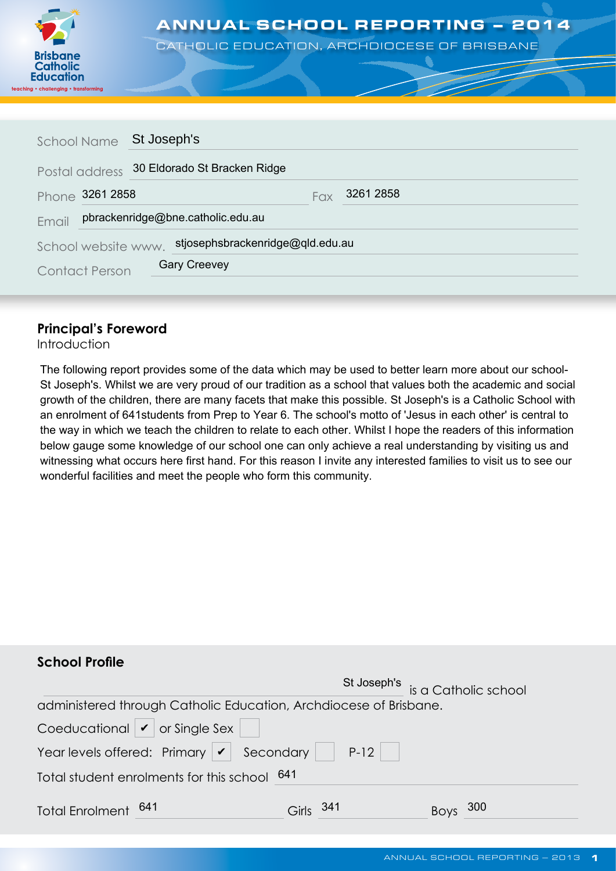

# ANNUAL SCHOOL REPORTING – 2014

CATHOLIC EDUCATION, ARCHDIOCESE OF BRISBANE

| School Name                                             |                       | St Joseph's                       |  |  |  |
|---------------------------------------------------------|-----------------------|-----------------------------------|--|--|--|
|                                                         | Postal address        | 30 Eldorado St Bracken Ridge      |  |  |  |
|                                                         | Phone 3261 2858       | 3261 2858<br><b>Fax</b>           |  |  |  |
| Email                                                   |                       | pbrackenridge@bne.catholic.edu.au |  |  |  |
| stjosephsbrackenridge@qld.edu.au<br>School website www. |                       |                                   |  |  |  |
|                                                         | <b>Contact Person</b> | <b>Gary Creevey</b>               |  |  |  |

## **Principal's Foreword**

Introduction

The following report provides some of the data which may be used to better learn more about our school-St Joseph's. Whilst we are very proud of our tradition as a school that values both the academic and social growth of the children, there are many facets that make this possible. St Joseph's is a Catholic School with an enrolment of 641students from Prep to Year 6. The school's motto of 'Jesus in each other' is central to the way in which we teach the children to relate to each other. Whilst I hope the readers of this information below gauge some knowledge of our school one can only achieve a real understanding by visiting us and witnessing what occurs here first hand. For this reason I invite any interested families to visit us to see our wonderful facilities and meet the people who form this community.

| <b>School Profile</b>                                                    |               |                                  |
|--------------------------------------------------------------------------|---------------|----------------------------------|
|                                                                          |               | St Joseph's is a Catholic school |
| administered through Catholic Education, Archdiocese of Brisbane.        |               |                                  |
| Coeducational $\vert \mathbf{v} \vert$ or Single Sex $\vert \quad \vert$ |               |                                  |
| Year levels offered: Primary $\boxed{\smash{\checkmark}}$ Secondary P-12 |               |                                  |
| Total student enrolments for this school 641                             |               |                                  |
| Total Enrolment 641                                                      | -341<br>Girls | 300<br><b>Boys</b>               |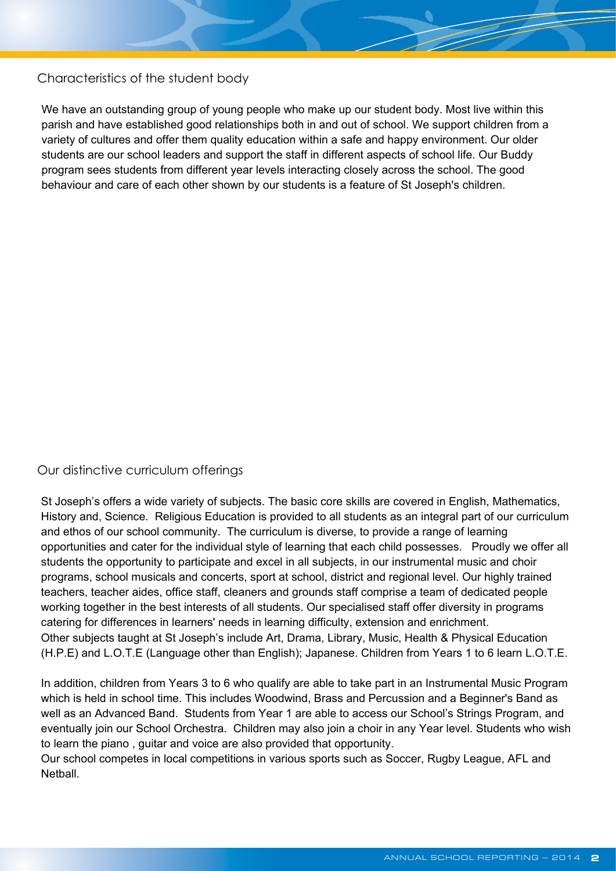Characteristics of the student body

We have an outstanding group of young people who make up our student body. Most live within this parish and have established good relationships both in and out of school. We support children from a variety of cultures and offer them quality education within a safe and happy environment. Our older students are our school leaders and support the staff in different aspects of school life. Our Buddy program sees students from different year levels interacting closely across the school. The good behaviour and care of each other shown by our students is a feature of St Joseph's children.

### Our distinctive curriculum offerings

St Joseph's offers a wide variety of subjects. The basic core skills are covered in English, Mathematics, History and, Science. Religious Education is provided to all students as an integral part of our curriculum and ethos of our school community. The curriculum is diverse, to provide a range of learning opportunities and cater for the individual style of learning that each child possesses. Proudly we offer all students the opportunity to participate and excel in all subjects, in our instrumental music and choir programs, school musicals and concerts, sport at school, district and regional level. Our highly trained teachers, teacher aides, office staff, cleaners and grounds staff comprise a team of dedicated people working together in the best interests of all students. Our specialised staff offer diversity in programs catering for differences in learners' needs in learning difficulty, extension and enrichment. Other subjects taught at St Joseph's include Art, Drama, Library, Music, Health & Physical Education (H.P.E) and L.O.T.E (Language other than English); Japanese. Children from Years 1 to 6 learn L.O.T.E.

In addition, children from Years 3 to 6 who qualify are able to take part in an Instrumental Music Program which is held in school time. This includes Woodwind, Brass and Percussion and a Beginner's Band as well as an Advanced Band. Students from Year 1 are able to access our School's Strings Program, and eventually join our School Orchestra. Children may also join a choir in any Year level. Students who wish to learn the piano , guitar and voice are also provided that opportunity.

Our school competes in local competitions in various sports such as Soccer, Rugby League, AFL and **Netball**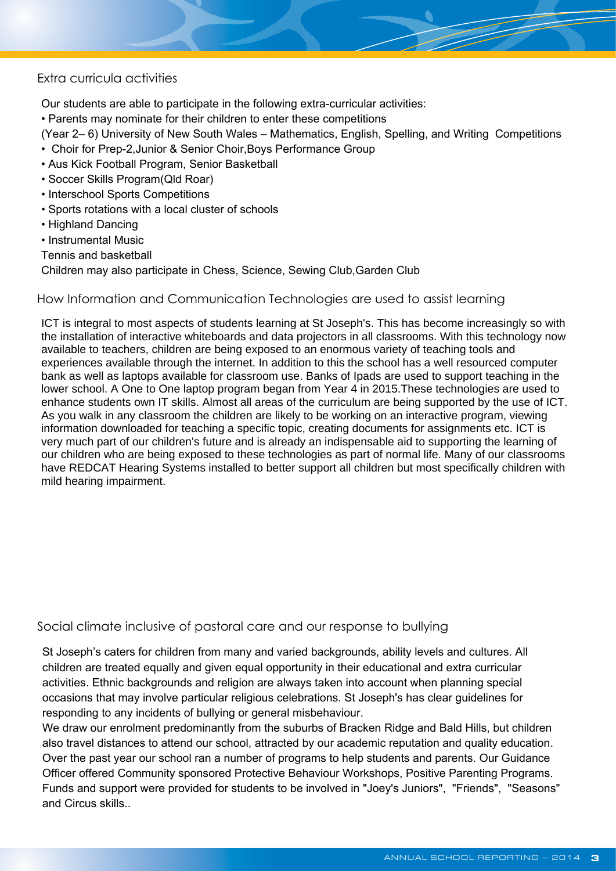#### Extra curricula activities

Our students are able to participate in the following extra-curricular activities:

• Parents may nominate for their children to enter these competitions

(Year 2– 6) University of New South Wales – Mathematics, English, Spelling, and Writing Competitions

- Choir for Prep-2,Junior & Senior Choir,Boys Performance Group
- Aus Kick Football Program, Senior Basketball
- Soccer Skills Program(Qld Roar)
- Interschool Sports Competitions
- Sports rotations with a local cluster of schools
- Highland Dancing
- Instrumental Music
- Tennis and basketball

Children may also participate in Chess, Science, Sewing Club,Garden Club

#### How Information and Communication Technologies are used to assist learning

ICT is integral to most aspects of students learning at St Joseph's. This has become increasingly so with the installation of interactive whiteboards and data projectors in all classrooms. With this technology now available to teachers, children are being exposed to an enormous variety of teaching tools and experiences available through the internet. In addition to this the school has a well resourced computer bank as well as laptops available for classroom use. Banks of Ipads are used to support teaching in the lower school. A One to One laptop program began from Year 4 in 2015.These technologies are used to enhance students own IT skills. Almost all areas of the curriculum are being supported by the use of ICT. As you walk in any classroom the children are likely to be working on an interactive program, viewing information downloaded for teaching a specific topic, creating documents for assignments etc. ICT is very much part of our children's future and is already an indispensable aid to supporting the learning of our children who are being exposed to these technologies as part of normal life. Many of our classrooms have REDCAT Hearing Systems installed to better support all children but most specifically children with mild hearing impairment.

#### Social climate inclusive of pastoral care and our response to bullying

St Joseph's caters for children from many and varied backgrounds, ability levels and cultures. All children are treated equally and given equal opportunity in their educational and extra curricular activities. Ethnic backgrounds and religion are always taken into account when planning special occasions that may involve particular religious celebrations. St Joseph's has clear guidelines for responding to any incidents of bullying or general misbehaviour.

We draw our enrolment predominantly from the suburbs of Bracken Ridge and Bald Hills, but children also travel distances to attend our school, attracted by our academic reputation and quality education. Over the past year our school ran a number of programs to help students and parents. Our Guidance Officer offered Community sponsored Protective Behaviour Workshops, Positive Parenting Programs. Funds and support were provided for students to be involved in "Joey's Juniors", "Friends", "Seasons" and Circus skills..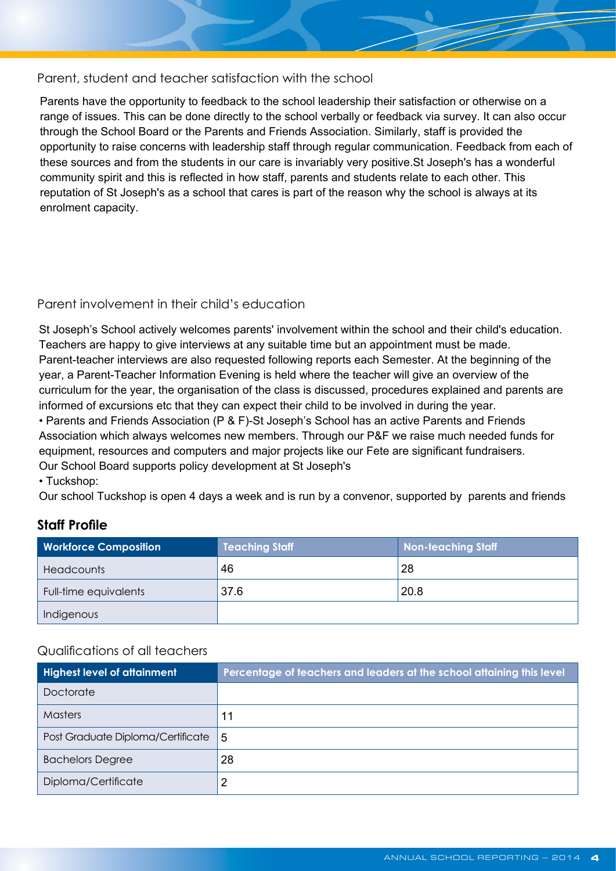#### Parent, student and teacher satisfaction with the school

Parents have the opportunity to feedback to the school leadership their satisfaction or otherwise on a range of issues. This can be done directly to the school verbally or feedback via survey. It can also occur through the School Board or the Parents and Friends Association. Similarly, staff is provided the opportunity to raise concerns with leadership staff through regular communication. Feedback from each of these sources and from the students in our care is invariably very positive.St Joseph's has a wonderful community spirit and this is reflected in how staff, parents and students relate to each other. This reputation of St Joseph's as a school that cares is part of the reason why the school is always at its enrolment capacity.

### Parent involvement in their child's education

St Joseph's School actively welcomes parents' involvement within the school and their child's education. Teachers are happy to give interviews at any suitable time but an appointment must be made. Parent-teacher interviews are also requested following reports each Semester. At the beginning of the year, a Parent-Teacher Information Evening is held where the teacher will give an overview of the curriculum for the year, the organisation of the class is discussed, procedures explained and parents are informed of excursions etc that they can expect their child to be involved in during the year. • Parents and Friends Association (P & F)-St Joseph's School has an active Parents and Friends Association which always welcomes new members. Through our P&F we raise much needed funds for equipment, resources and computers and major projects like our Fete are significant fundraisers. Our School Board supports policy development at St Joseph's

• Tuckshop:

Our school Tuckshop is open 4 days a week and is run by a convenor, supported by parents and friends

## **Staff Profile**

| <b>Workforce Composition</b> | <b>Teaching Staff</b> | <b>Non-teaching Staff</b> |  |  |
|------------------------------|-----------------------|---------------------------|--|--|
| <b>Headcounts</b>            | 46                    | 28                        |  |  |
| Full-time equivalents        | 37.6                  | 20.8                      |  |  |
| Indigenous                   |                       |                           |  |  |

### Qualifications of all teachers

| <b>Highest level of attainment</b> | Percentage of teachers and leaders at the school attaining this level |
|------------------------------------|-----------------------------------------------------------------------|
| Doctorate                          |                                                                       |
| <b>Masters</b>                     | 11                                                                    |
| Post Graduate Diploma/Certificate  | 5                                                                     |
| <b>Bachelors Degree</b>            | 28                                                                    |
| Diploma/Certificate                |                                                                       |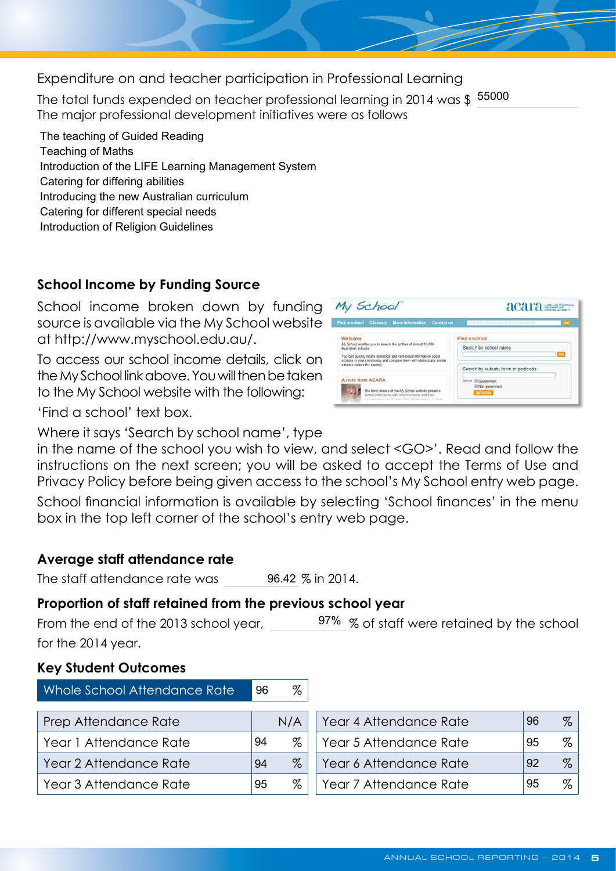Expenditure on and teacher participation in Professional Learning

The total funds expended on teacher professional learning in 2014 was \$155000<br>The major professional development initiatives were as follows

The teaching of Guided Reading Teaching of Maths Introduction of the LIFE Learning Management System Catering for differing abilities Introducing the new Australian curriculum Catering for different special needs Introduction of Religion Guidelines

# **School Income by Funding Source**

School income broken down by funding source is available via the My School website at<http://www.myschool.edu.au/>.

To access our school income details, click on the My School link above. You will then be taken to the My School website with the following:



acara

'Find a school' text box.

Where it says 'Search by school name', type

in the name of the school you wish to view, and select <GO>'. Read and follow the instructions on the next screen; you will be asked to accept the Terms of Use and Privacy Policy before being given access to the school's My School entry web page.

My School

School financial information is available by selecting 'School finances' in the menu box in the top left corner of the school's entry web page.

# **Average staff attendance rate**

The staff attendance rate was 96.42 % in 2014.

# **Proportion of staff retained from the previous school year**

From the end of the 2013 school year,  $\frac{97\%}{8}$  of staff were retained by the school for the 2014 year.

## **Key Student Outcomes**

| Whole School Attendance Rate | 96 | $\%$ |                        |    |      |
|------------------------------|----|------|------------------------|----|------|
| Prep Attendance Rate         |    | N/A  | Year 4 Attendance Rate | 96 | $\%$ |
| Year 1 Attendance Rate       | 94 | %    | Year 5 Attendance Rate | 95 | $\%$ |
| Year 2 Attendance Rate       | 94 | $\%$ | Year 6 Attendance Rate | 92 | $\%$ |
| Year 3 Attendance Rate       | 95 | $\%$ | Year 7 Attendance Rate | 95 | $\%$ |